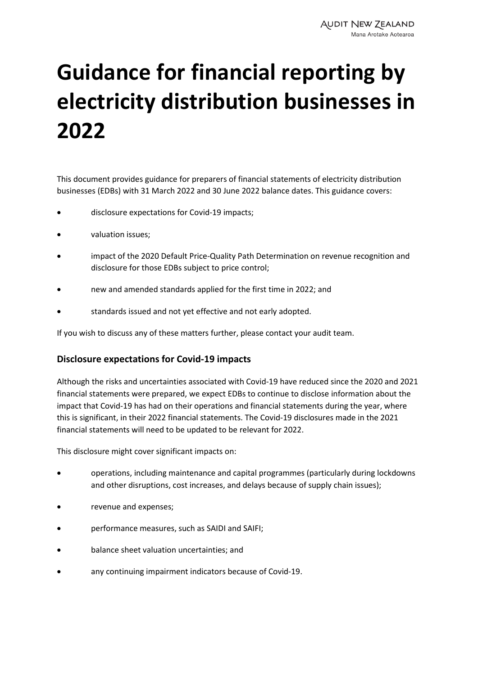# **Guidance for financial reporting by electricity distribution businesses in 2022**

This document provides guidance for preparers of financial statements of electricity distribution businesses (EDBs) with 31 March 2022 and 30 June 2022 balance dates. This guidance covers:

- disclosure expectations for Covid-19 impacts;
- valuation issues;
- impact of the 2020 Default Price-Quality Path Determination on revenue recognition and disclosure for those EDBs subject to price control;
- new and amended standards applied for the first time in 2022; and
- standards issued and not yet effective and not early adopted.

If you wish to discuss any of these matters further, please contact your audit team.

## **Disclosure expectations for Covid-19 impacts**

Although the risks and uncertainties associated with Covid-19 have reduced since the 2020 and 2021 financial statements were prepared, we expect EDBs to continue to disclose information about the impact that Covid-19 has had on their operations and financial statements during the year, where this is significant, in their 2022 financial statements. The Covid-19 disclosures made in the 2021 financial statements will need to be updated to be relevant for 2022.

This disclosure might cover significant impacts on:

- operations, including maintenance and capital programmes (particularly during lockdowns and other disruptions, cost increases, and delays because of supply chain issues);
- revenue and expenses;
- performance measures, such as SAIDI and SAIFI;
- balance sheet valuation uncertainties; and
- any continuing impairment indicators because of Covid-19.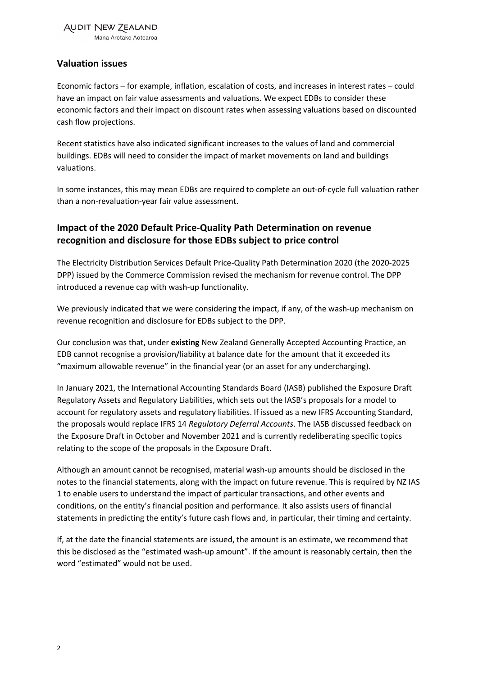Mana Arotake Aotearoa

## **Valuation issues**

Economic factors – for example, inflation, escalation of costs, and increases in interest rates – could have an impact on fair value assessments and valuations. We expect EDBs to consider these economic factors and their impact on discount rates when assessing valuations based on discounted cash flow projections.

Recent statistics have also indicated significant increases to the values of land and commercial buildings. EDBs will need to consider the impact of market movements on land and buildings valuations.

In some instances, this may mean EDBs are required to complete an out-of-cycle full valuation rather than a non-revaluation-year fair value assessment.

# **Impact of the 2020 Default Price-Quality Path Determination on revenue recognition and disclosure for those EDBs subject to price control**

The Electricity Distribution Services Default Price-Quality Path Determination 2020 (the 2020-2025 DPP) issued by the Commerce Commission revised the mechanism for revenue control. The DPP introduced a revenue cap with wash-up functionality.

We previously indicated that we were considering the impact, if any, of the wash-up mechanism on revenue recognition and disclosure for EDBs subject to the DPP.

Our conclusion was that, under **existing** New Zealand Generally Accepted Accounting Practice, an EDB cannot recognise a provision/liability at balance date for the amount that it exceeded its "maximum allowable revenue" in the financial year (or an asset for any undercharging).

In January 2021, the International Accounting Standards Board (IASB) published the Exposure Draft Regulatory Assets and Regulatory Liabilities, which sets out the IASB's proposals for a model to account for regulatory assets and regulatory liabilities. If issued as a new IFRS Accounting Standard, the proposals would replace IFRS 14 *Regulatory Deferral Accounts*. The IASB discussed feedback on the Exposure Draft in October and November 2021 and is currently redeliberating specific topics relating to the scope of the proposals in the Exposure Draft.

Although an amount cannot be recognised, material wash-up amounts should be disclosed in the notes to the financial statements, along with the impact on future revenue. This is required by NZ IAS 1 to enable users to understand the impact of particular transactions, and other events and conditions, on the entity's financial position and performance. It also assists users of financial statements in predicting the entity's future cash flows and, in particular, their timing and certainty.

If, at the date the financial statements are issued, the amount is an estimate, we recommend that this be disclosed as the "estimated wash-up amount". If the amount is reasonably certain, then the word "estimated" would not be used.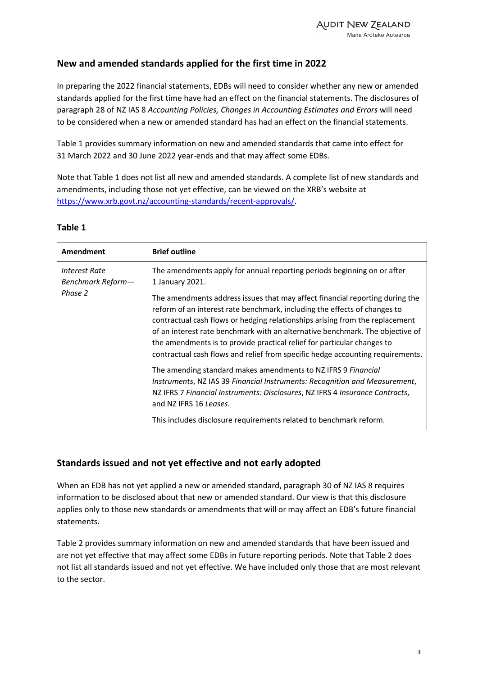## **New and amended standards applied for the first time in 2022**

In preparing the 2022 financial statements, EDBs will need to consider whether any new or amended standards applied for the first time have had an effect on the financial statements. The disclosures of paragraph 28 of NZ IAS 8 *Accounting Policies, Changes in Accounting Estimates and Errors* will need to be considered when a new or amended standard has had an effect on the financial statements.

Table 1 provides summary information on new and amended standards that came into effect for 31 March 2022 and 30 June 2022 year-ends and that may affect some EDBs.

Note that Table 1 does not list all new and amended standards. A complete list of new standards and amendments, including those not yet effective, can be viewed on the XRB's website at [https://www.xrb.govt.nz/accounting-standards/recent-approvals/.](https://www.xrb.govt.nz/accounting-standards/recent-approvals/)

| Amendment                                     | <b>Brief outline</b>                                                                                                                                                                                                                                                                                                                                                                                                                                                                                                                                                                                                                                                                                                                                                                                                                                                                                                 |
|-----------------------------------------------|----------------------------------------------------------------------------------------------------------------------------------------------------------------------------------------------------------------------------------------------------------------------------------------------------------------------------------------------------------------------------------------------------------------------------------------------------------------------------------------------------------------------------------------------------------------------------------------------------------------------------------------------------------------------------------------------------------------------------------------------------------------------------------------------------------------------------------------------------------------------------------------------------------------------|
| Interest Rate<br>Benchmark Reform-<br>Phase 2 | The amendments apply for annual reporting periods beginning on or after<br>1 January 2021.<br>The amendments address issues that may affect financial reporting during the<br>reform of an interest rate benchmark, including the effects of changes to<br>contractual cash flows or hedging relationships arising from the replacement<br>of an interest rate benchmark with an alternative benchmark. The objective of<br>the amendments is to provide practical relief for particular changes to<br>contractual cash flows and relief from specific hedge accounting requirements.<br>The amending standard makes amendments to NZ IFRS 9 Financial<br>Instruments, NZ IAS 39 Financial Instruments: Recognition and Measurement,<br>NZ IFRS 7 Financial Instruments: Disclosures, NZ IFRS 4 Insurance Contracts,<br>and NZ IFRS 16 Leases.<br>This includes disclosure requirements related to benchmark reform. |

#### **Table 1**

## **Standards issued and not yet effective and not early adopted**

When an EDB has not yet applied a new or amended standard, paragraph 30 of NZ IAS 8 requires information to be disclosed about that new or amended standard. Our view is that this disclosure applies only to those new standards or amendments that will or may affect an EDB's future financial statements.

Table 2 provides summary information on new and amended standards that have been issued and are not yet effective that may affect some EDBs in future reporting periods. Note that Table 2 does not list all standards issued and not yet effective. We have included only those that are most relevant to the sector.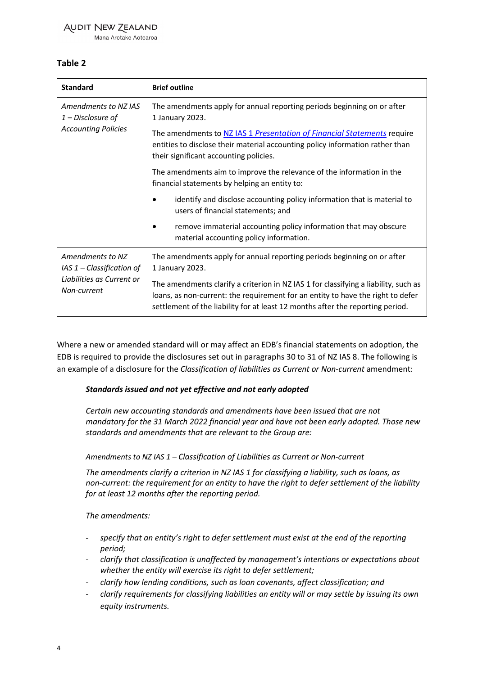## **AUDIT NEW ZEALAND**

Mana Arotake Aotearoa

## **Table 2**

| <b>Standard</b>                                                                             | <b>Brief outline</b>                                                                                                                                                                                                                                     |
|---------------------------------------------------------------------------------------------|----------------------------------------------------------------------------------------------------------------------------------------------------------------------------------------------------------------------------------------------------------|
| Amendments to NZ IAS<br>$1$ – Disclosure of<br><b>Accounting Policies</b>                   | The amendments apply for annual reporting periods beginning on or after<br>1 January 2023.                                                                                                                                                               |
|                                                                                             | The amendments to NZ IAS 1 Presentation of Financial Statements require<br>entities to disclose their material accounting policy information rather than<br>their significant accounting policies.                                                       |
|                                                                                             | The amendments aim to improve the relevance of the information in the<br>financial statements by helping an entity to:                                                                                                                                   |
|                                                                                             | identify and disclose accounting policy information that is material to<br>users of financial statements; and                                                                                                                                            |
|                                                                                             | remove immaterial accounting policy information that may obscure<br>material accounting policy information.                                                                                                                                              |
| Amendments to NZ<br>$IAS 1 - Classification of$<br>Liabilities as Current or<br>Non-current | The amendments apply for annual reporting periods beginning on or after<br>1 January 2023.                                                                                                                                                               |
|                                                                                             | The amendments clarify a criterion in NZ IAS 1 for classifying a liability, such as<br>loans, as non-current: the requirement for an entity to have the right to defer<br>settlement of the liability for at least 12 months after the reporting period. |

Where a new or amended standard will or may affect an EDB's financial statements on adoption, the EDB is required to provide the disclosures set out in paragraphs 30 to 31 of NZ IAS 8. The following is an example of a disclosure for the *Classification of liabilities as Current or Non-current* amendment:

## *Standards issued and not yet effective and not early adopted*

*Certain new accounting standards and amendments have been issued that are not mandatory for the 31 March 2022 financial year and have not been early adopted. Those new standards and amendments that are relevant to the Group are:* 

#### *Amendments to NZ IAS 1 – Classification of Liabilities as Current or Non-current*

*The amendments clarify a criterion in NZ IAS 1 for classifying a liability, such as loans, as non-current: the requirement for an entity to have the right to defer settlement of the liability for at least 12 months after the reporting period.*

*The amendments:*

- *specify that an entity's right to defer settlement must exist at the end of the reporting period;*
- *clarify that classification is unaffected by management's intentions or expectations about whether the entity will exercise its right to defer settlement;*
- *clarify how lending conditions, such as loan covenants, affect classification; and*
- *clarify requirements for classifying liabilities an entity will or may settle by issuing its own equity instruments.*